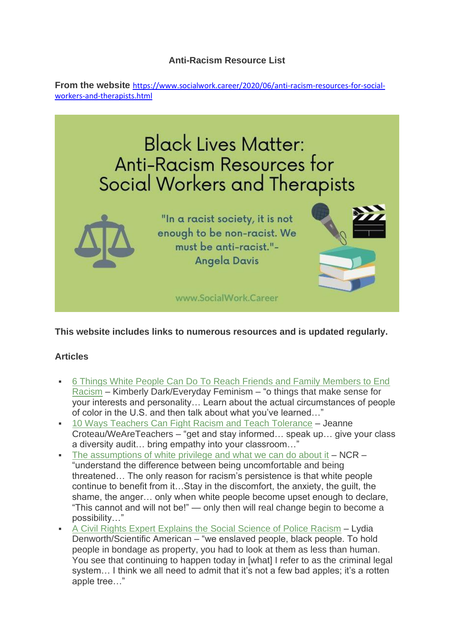## **Anti-Racism Resource List**

**From the website** [https://www.socialwork.career/2020/06/anti-racism-resources-for-social](https://www.socialwork.career/2020/06/anti-racism-resources-for-social-workers-and-therapists.html)[workers-and-therapists.html](https://www.socialwork.career/2020/06/anti-racism-resources-for-social-workers-and-therapists.html)



**This website includes links to numerous resources and is updated regularly.**

## **Articles**

- 6 Things White People Can Do To Reach Friends and Family Members to End [Racism](https://everydayfeminism.com/2017/08/friends-and-family-end-racism/) – Kimberly Dark/Everyday Feminism – "o things that make sense for your interests and personality… Learn about the actual circumstances of people of color in the U.S. and then talk about what you've learned…"
- [10 Ways Teachers Can Fight Racism and Teach Tolerance](https://www.weareteachers.com/teachers-fight-racism/) Jeanne Croteau/WeAreTeachers – "get and stay informed… speak up… give your class a diversity audit… bring empathy into your classroom…"
- [The assumptions of white privilege and what we can do about it](https://www.ncronline.org/news/opinion/assumptions-white-privilege-and-what-we-can-do-about-it)  $-$  NCR  $-$ "understand the difference between being uncomfortable and being threatened… The only reason for racism's persistence is that white people continue to benefit from it…Stay in the discomfort, the anxiety, the guilt, the shame, the anger… only when white people become upset enough to declare, "This cannot and will not be!" — only then will real change begin to become a possibility…"
- **EXECT** [A Civil Rights Expert Explains the Social Science of Police Racism](https://www.scientificamerican.com/article/a-civil-rights-expert-explains-the-social-science-of-police-racism/?) Lydia Denworth/Scientific American – "we enslaved people, black people. To hold people in bondage as property, you had to look at them as less than human. You see that continuing to happen today in [what] I refer to as the criminal legal system... I think we all need to admit that it's not a few bad apples; it's a rotten apple tree…"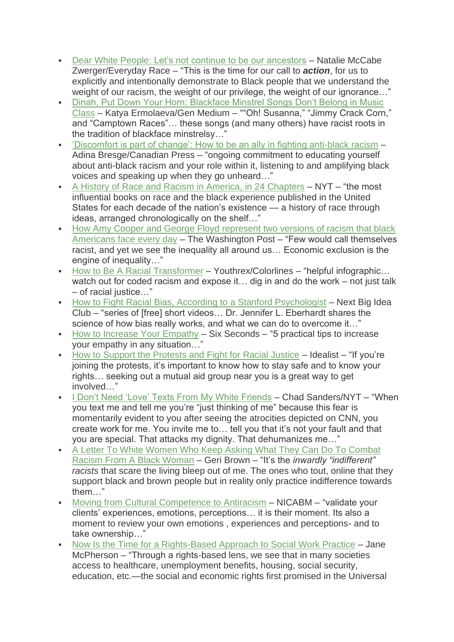- [Dear White People: Let's not continue to be our ancestors](https://everydayraceblog.com/2020/05/31/dear-white-people-lets-not-continue-to-be-our-ancestors/) Natalie McCabe Zwerger/Everyday Race – "This is the time for our call to *action*, for us to explicitly and intentionally demonstrate to Black people that we understand the weight of our racism, the weight of our privilege, the weight of our ignorance…"
- Dinah, Put Down Your Horn: Blackface Minstrel Songs Don't Belong in Music [Class](https://gen.medium.com/dinah-put-down-your-horn-154b8d8db12a) – Katya Ermolaeva/Gen Medium – ""Oh! Susanna," "Jimmy Crack Corn," and "Camptown Races"… these songs (and many others) have racist roots in the tradition of blackface minstrelsy…"
- ['Discomfort is part of change': How to be an ally in fighting anti-black racism](https://ca.news.yahoo.com/discomfort-part-change-ally-fighting-175350872.html) Adina Bresge/Canadian Press – "ongoing commitment to educating yourself about anti-black racism and your role within it, listening to and amplifying black voices and speaking up when they go unheard…"
- [A History of Race and Racism in America, in 24 Chapters](https://www.nytimes.com/2017/02/22/books/review/a-history-of-race-and-racism-in-america-in-24-chapters.html?) NYT "the most influential books on race and the black experience published in the United States for each decade of the nation's existence — a history of race through ideas, arranged chronologically on the shelf…"
- **How Amy Cooper and George Floyd represent two versions of racism that black** [Americans face every day](https://www.washingtonpost.com/opinions/2020/05/28/how-amy-cooper-george-floyd-represent-two-versions-racism-that-black-americans-face-every-day/) – The Washington Post – "Few would call themselves racist, and yet we see the inequality all around us… Economic exclusion is the engine of inequality…"
- [How to Be A Racial Transformer](https://youthrex.com/infographic/how-to-be-a-racial-transformer/) Youthrex/Colorlines "helpful infographic... watch out for coded racism and expose it... dig in and do the work – not just talk – of racial justice…"
- [How to Fight Racial Bias, According to a Stanford Psychologist](https://nextbigideaclub.com/fight-racial-bias-according-stanford-psychologist/24048/?) Next Big Idea Club – "series of [free] short videos… Dr. Jennifer L. Eberhardt shares the science of how bias really works, and what we can do to overcome it…"
- [How to Increase Your Empathy](https://www.6seconds.org/2017/07/20/how-to-increase-your-empathy/) Six Seconds "5 practical tips to increase your empathy in any situation…"
- [How to Support the Protests and Fight for Racial Justice](https://www.idealist.org/en/days/how-to-support-the-protests-and-fight-for-racial-justice) Idealist "If you're joining the protests, it's important to know how to stay safe and to know your rights… seeking out a mutual aid group near you is a great way to get involved…"
- **[I Don't Need 'Love' Texts From My White Friends](https://www.nytimes.com/2020/06/05/opinion/whites-anti-blackness-protests.html?) Chad Sanders/NYT "When** you text me and tell me you're "just thinking of me" because this fear is momentarily evident to you after seeing the atrocities depicted on CNN, you create work for me. You invite me to… tell you that it's not your fault and that you are special. That attacks my dignity. That dehumanizes me…"
- A Letter To White Women Who Keep Asking What They Can Do To Combat [Racism From A Black Woman](https://docs.google.com/document/d/1Bu6PCX9dch3q5xZVJNe_VO6LxclWDoyKZ1zbsbcxXc4/edit) – Geri Brown – "It's the *inwardly "indifferent" racists* that scare the living bleep out of me. The ones who tout, online that they support black and brown people but in reality only practice indifference towards them…"
- Moving from Cultural [Competence to Antiracism](https://www.nicabm.com/moving-from-cultural-competence-to-antiracism/) NICABM "validate your clients' experiences, emotions, perceptions… it is their moment. Its also a moment to review your own emotions , experiences and perceptions- and to take ownership…"
- [Now Is the Time for a Rights-Based Approach to Social Work Practice](https://link.springer.com/article/10.1007/s41134-020-00125-1) Jane McPherson – "Through a rights-based lens, we see that in many societies access to healthcare, unemployment benefits, housing, social security, education, etc.—the social and economic rights first promised in the Universal